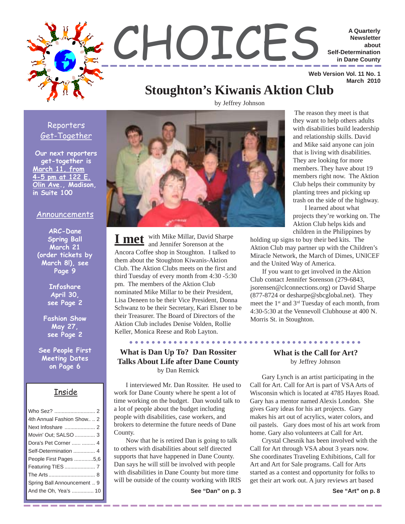

by Jeffrey Johnson

○○○○○○○○ ○○○○○○○○○○○○○○○○○○○○○○○○○○○○○○○○○○○

#### Reporters Get-Together

**Our next reporters get-together is March 11, from 4-5 pm at 122 E. Olin Ave., Madison, in Suite 100**

#### Announcements

**ARC-Dane Spring Ball March 21 (order tickets by March 8!), see Page 9**

> **Infoshare April 30, see Page 2**

**Fashion Show May 27, see Page 2**

**See People First Meeting Dates on Page 6**

#### Inside

| 4th Annual Fashion Show 2   |
|-----------------------------|
|                             |
| Movin' Out; SALSO  3        |
| Dora's Pet Corner   4       |
| Self-Determination  4       |
| People First Pages 5,6      |
|                             |
|                             |
| Spring Ball Announcement  9 |
| And the Oh, Yea's  10       |
|                             |



with Mike Millar, David Sharpe **I met** with Mike Millar, David Sha Ancora Coffee shop in Stoughton. I talked to them about the Stoughton Kiwanis-Aktion Club. The Aktion Clubs meets on the first and third Tuesday of every month from 4:30 -5:30 pm. The members of the Aktion Club nominated Mike Millar to be their President, Lisa Deneen to be their Vice President, Donna Schwanz to be their Secretary, Kari Elsner to be their Treasurer. The Board of Directors of the Aktion Club includes Denise Volden, Rollie Keller, Monica Reese and Rob Layton.

#### **What is Dan Up To? Dan Rossiter Talks About Life after Dane County** by Dan Remick

I interviewed Mr. Dan Rossiter. He used to work for Dane County where he spent a lot of time working on the budget. Dan would talk to a lot of people about the budget including people with disabilities, case workers, and brokers to determine the future needs of Dane County.

Now that he is retired Dan is going to talk to others with disabilities about self directed supports that have happened in Dane County. Dan says he will still be involved with people with disabilities in Dane County but more time will be outside of the county working with IRIS

**See "Dan" on p. 3**

 The reason they meet is that they want to help others adults with disabilities build leadership and relationship skills. David and Mike said anyone can join that is living with disabilities. They are looking for more members. They have about 19 members right now. The Aktion Club helps their community by planting trees and picking up trash on the side of the highway.

I learned about what projects they're working on. The Aktion Club helps kids and children in the Philippines by

holding up signs to buy their bed kits. The Aktion Club may partner up with the Children's Miracle Network, the March of Dimes, UNICEF and the United Way of America.

If you want to get involved in the Aktion Club contact Jennifer Sorenson (279-6843, jsorensen@clconnections.org) or David Sharpe (877-8724 or desharpe@sbcglobal.net). They meet the 1st and 3rd Tuesday of each month, from 4:30-5:30 at the Vennevoll Clubhouse at 400 N. Morris St. in Stoughton.

#### **What is the Call for Art?** by Jeffrey Johnson

Gary Lynch is an artist participating in the Call for Art. Call for Art is part of VSA Arts of Wisconsin which is located at 4785 Hayes Road. Gary has a mentor named Alexis London. She gives Gary ideas for his art projects. Gary makes his art out of acrylics, water colors, and oil pastels. Gary does most of his art work from home. Gary also volunteers at Call for Art.

Crystal Chesnik has been involved with the Call for Art through VSA about 3 years now. She coordinates Traveling Exhibitions, Call for Art and Art for Sale programs. Call for Arts started as a contest and opportunity for folks to get their art work out. A jury reviews art based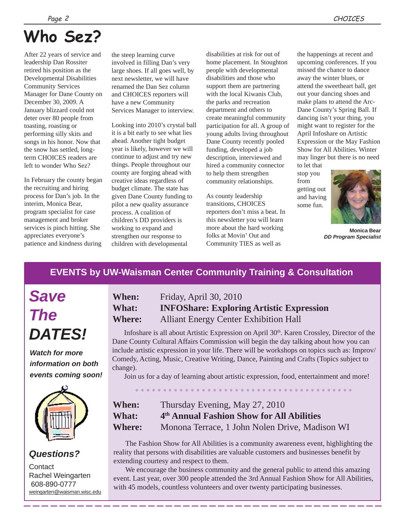# **Who Sez?**

After 22 years of service and leadership Dan Rossiter retired his position as the Developmental Disabilities Community Services Manager for Dane County on December 30, 2009. A January blizzard could not deter over 80 people from toasting, roasting or performing silly skits and songs in his honor. Now that the snow has settled, longterm CHOICES readers are left to wonder Who Sez?

In February the county began the recruiting and hiring process for Dan's job. In the interim, Monica Bear, program specialist for case management and broker services is pinch hitting. She appreciates everyone's patience and kindness during

the steep learning curve involved in filling Dan's very large shoes. If all goes well, by next newsletter, we will have renamed the Dan Sez column and CHOICES reporters will have a new Community Services Manager to interview.

Looking into 2010's crystal ball it is a bit early to see what lies ahead. Another tight budget year is likely, however we will continue to adjust and try new things. People throughout our county are forging ahead with creative ideas regardless of budget climate. The state has given Dane County funding to pilot a new quality assurance process. A coalition of children's DD providers is working to expand and strengthen our response to children with developmental

disabilities at risk for out of home placement. In Stoughton people with developmental disabilities and those who support them are partnering with the local Kiwanis Club, the parks and recreation department and others to create meaningful community participation for all. A group of young adults living throughout Dane County recently pooled funding, developed a job description, interviewed and hired a community connector to help them strengthen community relationships.

As county leadership transitions, CHOICES reporters don't miss a beat. In this newsletter you will learn more about the hard working folks at Movin' Out and Community TIES as well as

the happenings at recent and upcoming conferences. If you missed the chance to dance away the winter blues, or attend the sweetheart ball, get out your dancing shoes and make plans to attend the Arc-Dane County's Spring Ball. If dancing isn't your thing, you might want to register for the April Infoshare on Artistic Expression or the May Fashion Show for All Abilities. Winter may linger but there is no need

to let that stop you from getting out and having some fun.



**Monica Bear** *DD Program Specialist*

# **EVENTS by UW-Waisman Center Community Training & Consultation**

*Save The DATES!*

*Watch for more information on both events coming soon!*



### *Questions?*

**Contact** Rachel Weingarten 608-890-0777 weingarten@waisman.wisc.edu

# **When:** Friday, April 30, 2010 **What: INFOShare: Exploring Artistic Expression Where:** Alliant Energy Center Exhibition Hall

Infoshare is all about Artistic Expression on April  $30<sup>th</sup>$ . Karen Crossley, Director of the Dane County Cultural Affairs Commission will begin the day talking about how you can include artistic expression in your life. There will be workshops on topics such as: Improv/ Comedy, Acting, Music, Creative Writing, Dance, Painting and Crafts (Topics subject to change).

Join us for a day of learning about artistic expression, food, entertainment and more!

○○○○○○○○○○○○○○○○○○○ ○○○○○○○○○○○○○○○○○○○○○

| When:         | Thursday Evening, May 27, 2010                        |  |  |  |
|---------------|-------------------------------------------------------|--|--|--|
| What:         | 4 <sup>th</sup> Annual Fashion Show for All Abilities |  |  |  |
| <b>Where:</b> | Monona Terrace, 1 John Nolen Drive, Madison WI        |  |  |  |

The Fashion Show for All Abilities is a community awareness event, highlighting the reality that persons with disabilities are valuable customers and businesses benefit by extending courtesy and respect to them.

We encourage the business community and the general public to attend this amazing event. Last year, over 300 people attended the 3rd Annual Fashion Show for All Abilities, with 45 models, countless volunteers and over twenty participating businesses.

-----------------------------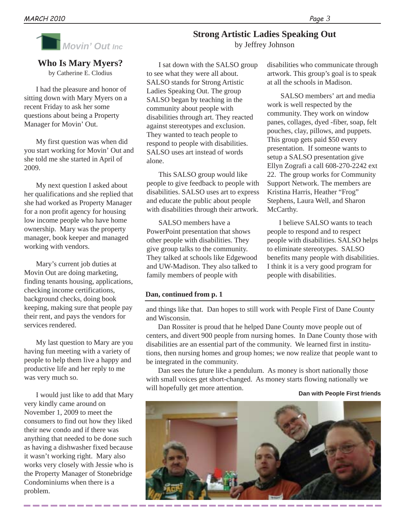

# **Who Is Mary Myers?**

by Catherine E. Clodius

I had the pleasure and honor of sitting down with Mary Myers on a recent Friday to ask her some questions about being a Property Manager for Movin' Out.

My first question was when did you start working for Movin' Out and she told me she started in April of 2009.

My next question I asked about her qualifications and she replied that she had worked as Property Manager for a non profit agency for housing low income people who have home ownership. Mary was the property manager, book keeper and managed working with vendors.

Mary's current job duties at Movin Out are doing marketing, finding tenants housing, applications, checking income certifications, background checks, doing book keeping, making sure that people pay their rent, and pays the vendors for services rendered.

My last question to Mary are you having fun meeting with a variety of people to help them live a happy and productive life and her reply to me was very much so.

I would just like to add that Mary very kindly came around on November 1, 2009 to meet the consumers to find out how they liked their new condo and if there was anything that needed to be done such as having a dishwasher fixed because it wasn't working right. Mary also works very closely with Jessie who is the Property Manager of Stonebridge Condominiums when there is a problem.

I sat down with the SALSO group to see what they were all about. SALSO stands for Strong Artistic Ladies Speaking Out. The group SALSO began by teaching in the community about people with disabilities through art. They reacted against stereotypes and exclusion. They wanted to teach people to respond to people with disabilities. SALSO uses art instead of words alone.

This SALSO group would like people to give feedback to people with disabilities. SALSO uses art to express and educate the public about people with disabilities through their artwork.

SALSO members have a PowerPoint presentation that shows other people with disabilities. They give group talks to the community. They talked at schools like Edgewood and UW-Madison. They also talked to family members of people with

disabilities who communicate through artwork. This group's goal is to speak at all the schools in Madison.

 SALSO members' art and media work is well respected by the community. They work on window panes, collages, dyed -fiber, soap, felt pouches, clay, pillows, and puppets. This group gets paid \$50 every presentation. If someone wants to setup a SALSO presentation give Ellyn Zografi a call 608-270-2242 ext 22. The group works for Community Support Network. The members are Kristina Harris, Heather "Frog" Stephens, Laura Well, and Sharon McCarthy.

I believe SALSO wants to teach people to respond and to respect people with disabilities. SALSO helps to eliminate stereotypes. SALSO benefits many people with disabilities. I think it is a very good program for people with disabilities.

#### **Dan, continued from p. 1**

and things like that. Dan hopes to still work with People First of Dane County and Wisconsin.

Dan Rossiter is proud that he helped Dane County move people out of centers, and divert 900 people from nursing homes. In Dane County those with disabilities are an essential part of the community. We learned first in institutions, then nursing homes and group homes; we now realize that people want to be integrated in the community.

Dan sees the future like a pendulum. As money is short nationally those with small voices get short-changed. As money starts flowing nationally we will hopefully get more attention.

**Dan with People First friends**



**Strong Artistic Ladies Speaking Out** by Jeffrey Johnson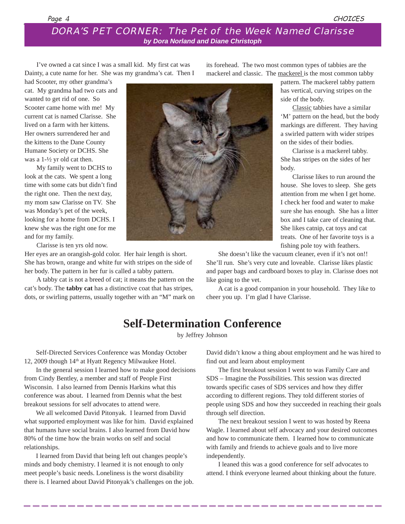### *DORA'S PET CORNER: The Pet of the Week Named Clarisse by Dora Norland and Diane Christoph*

I've owned a cat since I was a small kid. My first cat was Dainty, a cute name for her. She was my grandma's cat. Then I

mackerel and classic. The mackerel is the most common tabby

had Scooter, my other grandma's cat. My grandma had two cats and wanted to get rid of one. So Scooter came home with me! My current cat is named Clarisse. She lived on a farm with her kittens. Her owners surrendered her and the kittens to the Dane County Humane Society or DCHS. She was a 1-½ yr old cat then.

My family went to DCHS to look at the cats. We spent a long time with some cats but didn't find the right one. Then the next day, my mom saw Clarisse on TV. She was Monday's pet of the week, looking for a home from DCHS. I knew she was the right one for me and for my family.

Clarisse is ten yrs old now.

Her eyes are an orangish-gold color. Her hair length is short. She has brown, orange and white fur with stripes on the side of her body. The pattern in her fur is called a tabby pattern.

A tabby cat is not a breed of cat; it means the pattern on the cat's body. The **tabby cat** has a distinctive coat that has stripes, dots, or swirling patterns, usually together with an "M" mark on



its forehead. The two most common types of tabbies are the

pattern. The mackerel tabby pattern has vertical, curving stripes on the side of the body.

Classic tabbies have a similar 'M' pattern on the head, but the body markings are different. They having a swirled pattern with wider stripes on the sides of their bodies.

Clarisse is a mackerel tabby. She has stripes on the sides of her body.

Clarisse likes to run around the house. She loves to sleep. She gets attention from me when I get home. I check her food and water to make sure she has enough. She has a litter box and I take care of cleaning that. She likes catnip, cat toys and cat treats. One of her favorite toys is a fishing pole toy with feathers.

She doesn't like the vacuum cleaner, even if it's not on!! She'll run. She's very cute and loveable. Clarisse likes plastic and paper bags and cardboard boxes to play in. Clarisse does not like going to the vet.

A cat is a good companion in your household. They like to cheer you up. I'm glad I have Clarisse.

# **Self-Determination Conference**

by Jeffrey Johnson

Self-Directed Services Conference was Monday October 12, 2009 though 14th at Hyatt Regency Milwaukee Hotel.

In the general session I learned how to make good decisions from Cindy Bentley, a member and staff of People First Wisconsin. I also learned from Dennis Harkins what this conference was about. I learned from Dennis what the best breakout sessions for self advocates to attend were.

We all welcomed David Pitonyak. I learned from David what supported employment was like for him. David explained that humans have social brains. I also learned from David how 80% of the time how the brain works on self and social relationships.

I learned from David that being left out changes people's minds and body chemistry. I learned it is not enough to only meet people's basic needs. Loneliness is the worst disability there is. I learned about David Pitonyak's challenges on the job. David didn't know a thing about employment and he was hired to find out and learn about employment

The first breakout session I went to was Family Care and SDS – Imagine the Possibilities. This session was directed towards specific cases of SDS services and how they differ according to different regions. They told different stories of people using SDS and how they succeeded in reaching their goals through self direction.

The next breakout session I went to was hosted by Reena Wagle. I learned about self advocacy and your desired outcomes and how to communicate them. I learned how to communicate with family and friends to achieve goals and to live more independently.

I leaned this was a good conference for self advocates to attend. I think everyone learned about thinking about the future.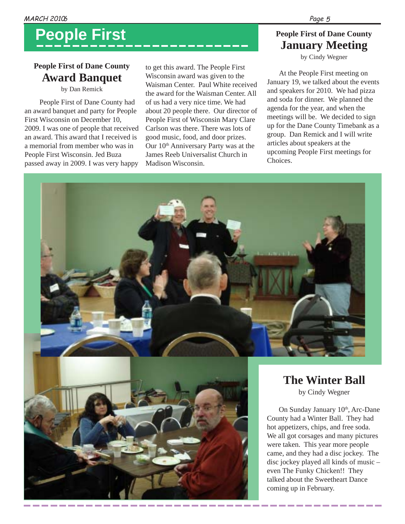# **People First**

# **People First of Dane County Award Banquet**

by Dan Remick

People First of Dane County had an award banquet and party for People First Wisconsin on December 10, 2009. I was one of people that received an award. This award that I received is a memorial from member who was in People First Wisconsin. Jed Buza passed away in 2009. I was very happy

to get this award. The People First Wisconsin award was given to the Waisman Center. Paul White received the award for the Waisman Center. All of us had a very nice time. We had about 20 people there. Our director of People First of Wisconsin Mary Clare Carlson was there. There was lots of good music, food, and door prizes. Our 10th Anniversary Party was at the James Reeb Universalist Church in Madison Wisconsin.

# **People First of Dane County January Meeting**

by Cindy Wegner

At the People First meeting on January 19, we talked about the events and speakers for 2010. We had pizza and soda for dinner. We planned the agenda for the year, and when the meetings will be. We decided to sign up for the Dane County Timebank as a group. Dan Remick and I will write articles about speakers at the upcoming People First meetings for Choices.

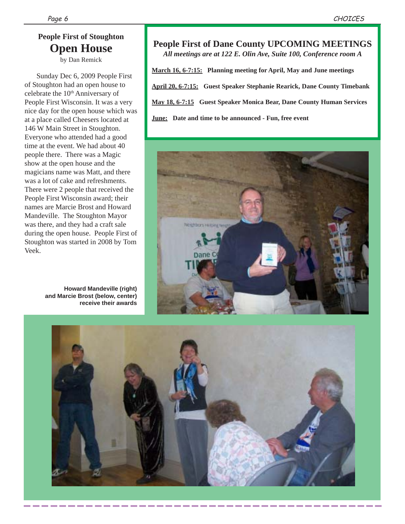# **People First of Stoughton Open House**

by Dan Remick

Sunday Dec 6, 2009 People First of Stoughton had an open house to celebrate the 10<sup>th</sup> Anniversary of People First Wisconsin. It was a very nice day for the open house which was at a place called Cheesers located at 146 W Main Street in Stoughton. Everyone who attended had a good time at the event. We had about 40 people there. There was a Magic show at the open house and the magicians name was Matt, and there was a lot of cake and refreshments. There were 2 people that received the People First Wisconsin award; their names are Marcie Brost and Howard Mandeville. The Stoughton Mayor was there, and they had a craft sale during the open house. People First of Stoughton was started in 2008 by Tom Veek.

> **Howard Mandeville (right) and Marcie Brost (below, center) receive their awards**

# **People First of Dane County UPCOMING MEETINGS**

*All meetings are at 122 E. Olin Ave, Suite 100, Conference room A*

**March 16, 6-7:15: Planning meeting for April, May and June meetings April 20, 6-7:15: Guest Speaker Stephanie Rearick, Dane County Timebank May 18, 6-7:15 Guest Speaker Monica Bear, Dane County Human Services June: Date and time to be announced - Fun, free event**



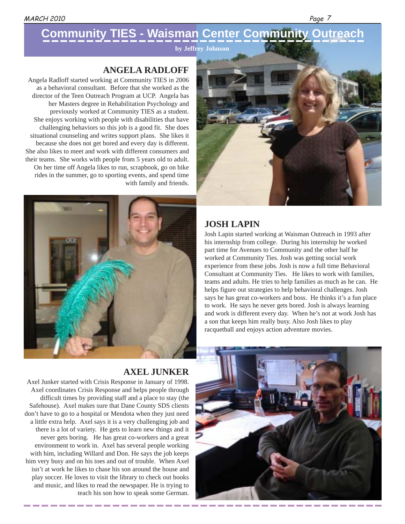**by Jeffrey Johnson**

# **ANGELA RADLOFF**

Angela Radloff started working at Community TIES in 2006 as a behavioral consultant. Before that she worked as the director of the Teen Outreach Program at UCP. Angela has her Masters degree in Rehabilitation Psychology and previously worked at Community TIES as a student. She enjoys working with people with disabilities that have challenging behaviors so this job is a good fit. She does situational counseling and writes support plans. She likes it because she does not get bored and every day is different. She also likes to meet and work with different consumers and their teams. She works with people from 5 years old to adult. On her time off Angela likes to run, scrapbook, go on bike rides in the summer, go to sporting events, and spend time with family and friends.



Page 7



#### **JOSH LAPIN**

Josh Lapin started working at Waisman Outreach in 1993 after his internship from college. During his internship he worked part time for Avenues to Community and the other half he worked at Community Ties. Josh was getting social work experience from these jobs. Josh is now a full time Behavioral Consultant at Community Ties. He likes to work with families, teams and adults. He tries to help families as much as he can. He helps figure out strategies to help behavioral challenges. Josh says he has great co-workers and boss. He thinks it's a fun place to work. He says he never gets bored. Josh is always learning and work is different every day. When he's not at work Josh has a son that keeps him really busy. Also Josh likes to play racquetball and enjoys action adventure movies.

#### **AXEL JUNKER**

Axel Junker started with Crisis Response in January of 1998. Axel coordinates Crisis Response and helps people through difficult times by providing staff and a place to stay (the Safehouse). Axel makes sure that Dane County SDS clients don't have to go to a hospital or Mendota when they just need a little extra help. Axel says it is a very challenging job and there is a lot of variety. He gets to learn new things and it never gets boring. He has great co-workers and a great environment to work in. Axel has several people working with him, including Willard and Don. He says the job keeps him very busy and on his toes and out of trouble. When Axel isn't at work he likes to chase his son around the house and play soccer. He loves to visit the library to check out books and music, and likes to read the newspaper. He is trying to teach his son how to speak some German.

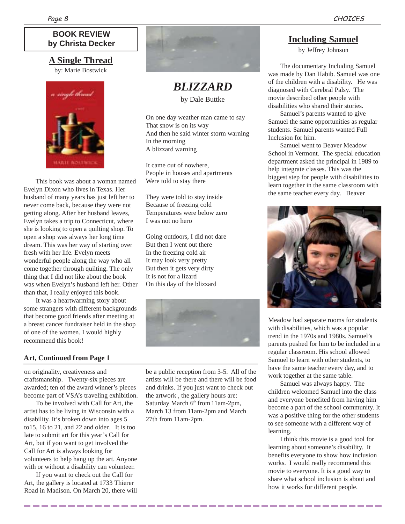### **BOOK REVIEW by Christa Decker**

# **A Single Thread**

by: Marie Bostwick



This book was about a woman named Evelyn Dixon who lives in Texas. Her husband of many years has just left her to never come back, because they were not getting along. After her husband leaves, Evelyn takes a trip to Connecticut, where she is looking to open a quilting shop. To open a shop was always her long time dream. This was her way of starting over fresh with her life. Evelyn meets wonderful people along the way who all come together through quilting. The only thing that I did not like about the book was when Evelyn's husband left her. Other than that, I really enjoyed this book.

It was a heartwarming story about some strangers with different backgrounds that become good friends after meeting at a breast cancer fundraiser held in the shop of one of the women. I would highly recommend this book!

#### **Art, Continued from Page 1**

on originality, creativeness and craftsmanship. Twenty-six pieces are awarded; ten of the award winner's pieces become part of VSA's traveling exhibition.

To be involved with Call for Art, the artist has to be living in Wisconsin with a disability. It's broken down into ages 5 to15, 16 to 21, and 22 and older. It is too late to submit art for this year's Call for Art, but if you want to get involved the Call for Art is always looking for volunteers to help hang up the art. Anyone with or without a disability can volunteer.

If you want to check out the Call for Art, the gallery is located at 1733 Thierer Road in Madison. On March 20, there will



*BLIZZARD* by Dale Buttke

On one day weather man came to say That snow is on its way And then he said winter storm warning In the morning A blizzard warning

It came out of nowhere, People in houses and apartments Were told to stay there

They were told to stay inside Because of freezing cold Temperatures were below zero I was not no hero

Going outdoors, I did not dare But then I went out there In the freezing cold air It may look very pretty But then it gets very dirty It is not for a lizard On this day of the blizzard



be a public reception from 3-5. All of the artists will be there and there will be food and drinks. If you just want to check out the artwork , the gallery hours are: Saturday March 6<sup>th</sup> from 11am-2pm, March 13 from 11am-2pm and March 27th from 11am-2pm.

#### **Including Samuel**

by Jeffrey Johnson

The documentary Including Samuel was made by Dan Habib. Samuel was one of the children with a disability. He was diagnosed with Cerebral Palsy. The movie described other people with disabilities who shared their stories.

Samuel's parents wanted to give Samuel the same opportunities as regular students. Samuel parents wanted Full Inclusion for him.

Samuel went to Beaver Meadow School in Vermont. The special education department asked the principal in 1989 to help integrate classes. This was the biggest step for people with disabilities to learn together in the same classroom with the same teacher every day. Beaver



Meadow had separate rooms for students with disabilities, which was a popular trend in the 1970s and 1980s. Samuel's parents pushed for him to be included in a regular classroom. His school allowed Samuel to learn with other students, to have the same teacher every day, and to work together at the same table.

Samuel was always happy. The children welcomed Samuel into the class and everyone benefited from having him become a part of the school community. It was a positive thing for the other students to see someone with a different way of learning.

I think this movie is a good tool for learning about someone's disability. It benefits everyone to show how inclusion works. I would really recommend this movie to everyone. It is a good way to share what school inclusion is about and how it works for different people.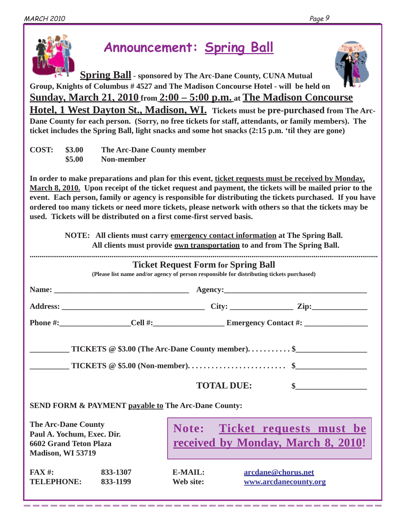

# **Announcement: Spring Ball**

**Spring Ball - sponsored by The Arc-Dane County, CUNA Mutual Group, Knights of Columbus # 4527 and The Madison Concourse Hotel - will be held on Sunday, March 21, 2010 from 2:00 – 5:00 p.m. at The Madison Concourse Hotel, 1 West Dayton St., Madison, WI. Tickets must be pre-purchased from The Arc-Dane County for each person. (Sorry, no free tickets for staff, attendants, or family members). The ticket includes the Spring Ball, light snacks and some hot snacks (2:15 p.m. 'til they are gone)**

| <b>COST:</b> \$3.00 |        | The Arc-Dane County member |  |  |
|---------------------|--------|----------------------------|--|--|
|                     | \$5.00 | Non-member                 |  |  |

**In order to make preparations and plan for this event, ticket requests must be received by Monday, March 8, 2010. Upon receipt of the ticket request and payment, the tickets will be mailed prior to the event. Each person, family or agency is responsible for distributing the tickets purchased. If you have ordered too many tickets or need more tickets, please network with others so that the tickets may be used. Tickets will be distributed on a first come-first served basis.**

| NOTE: All clients must carry emergency contact information at The Spring Ball.<br>All clients must provide own transportation to and from The Spring Ball.                              |                      |                                                                     |                    |                       |  |  |  |  |  |
|-----------------------------------------------------------------------------------------------------------------------------------------------------------------------------------------|----------------------|---------------------------------------------------------------------|--------------------|-----------------------|--|--|--|--|--|
| <b>Ticket Request Form for Spring Ball</b><br>(Please list name and/or agency of person responsible for distributing tickets purchased)                                                 |                      |                                                                     |                    |                       |  |  |  |  |  |
|                                                                                                                                                                                         |                      |                                                                     |                    |                       |  |  |  |  |  |
|                                                                                                                                                                                         |                      |                                                                     |                    |                       |  |  |  |  |  |
|                                                                                                                                                                                         |                      |                                                                     |                    |                       |  |  |  |  |  |
| $\text{TICKETS} \otimes \$3.00 \text{ (The Arc-Dane County member)} \dots \dots \dots \text{``}$<br><b>TOTAL DUE:</b><br><b>SEND FORM &amp; PAYMENT payable to The Arc-Dane County:</b> |                      |                                                                     |                    |                       |  |  |  |  |  |
| <b>The Arc-Dane County</b><br>Paul A. Yochum, Exec. Dir.<br><b>6602 Grand Teton Plaza</b><br>Madison, WI 53719                                                                          |                      | Note: Ticket requests must be<br>received by Monday, March 8, 2010! |                    |                       |  |  |  |  |  |
| $FAX#$ :<br><b>TELEPHONE:</b>                                                                                                                                                           | 833-1307<br>833-1199 | E-MAIL:<br>Web site:                                                | arcdane@chorus.net | www.arcdanecounty.org |  |  |  |  |  |

-------------------------